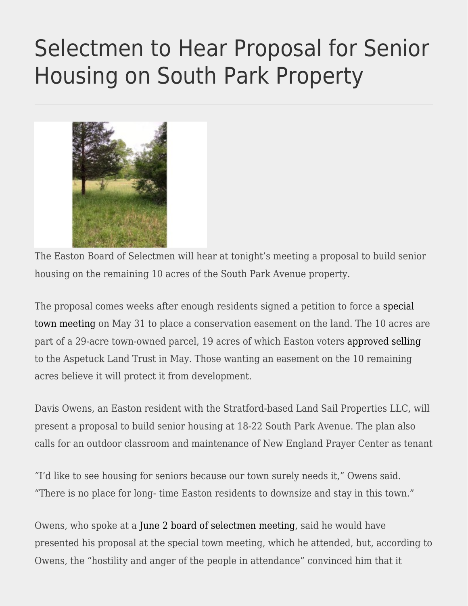## [Selectmen to Hear Proposal for Senior](https://eastoncourier.news/2022/06/16/selectmen-to-hear-proposal-for-senior-housing-on-south-park-property/) [Housing on South Park Property](https://eastoncourier.news/2022/06/16/selectmen-to-hear-proposal-for-senior-housing-on-south-park-property/)



The Easton Board of Selectmen will hear at tonight's meeting a proposal to build senior housing on the remaining 10 acres of the South Park Avenue property.

The proposal comes weeks after enough residents signed a petition to force a [special](https://eastoncourier.news/2022/05/25/petition-forces-may-31-special-town-meeting-on-remaining-south-park-parcel/?print=print) [town meeting](https://eastoncourier.news/2022/05/25/petition-forces-may-31-special-town-meeting-on-remaining-south-park-parcel/?print=print) on May 31 to place a conservation easement on the land. The 10 acres are part of a 29-acre town-owned parcel, 19 acres of which Easton voters [approved selling](https://eastoncourier.news/2022/05/03/voters-approve-sale-of-south-park-property-to-alt/) to the Aspetuck Land Trust in May. Those wanting an easement on the 10 remaining acres believe it will protect it from development.

Davis Owens, an Easton resident with the Stratford-based Land Sail Properties LLC, will present a proposal to build senior housing at 18-22 South Park Avenue. The plan also calls for an outdoor classroom and maintenance of New England Prayer Center as tenant

"I'd like to see housing for seniors because our town surely needs it," Owens said. "There is no place for long- time Easton residents to downsize and stay in this town."

Owens, who spoke at a [June 2 board of selectmen meeting](https://vimeo.com/showcase/7815363/video/718580462), said he would have presented his proposal at the special town meeting, which he attended, but, according to Owens, the "hostility and anger of the people in attendance" convinced him that it